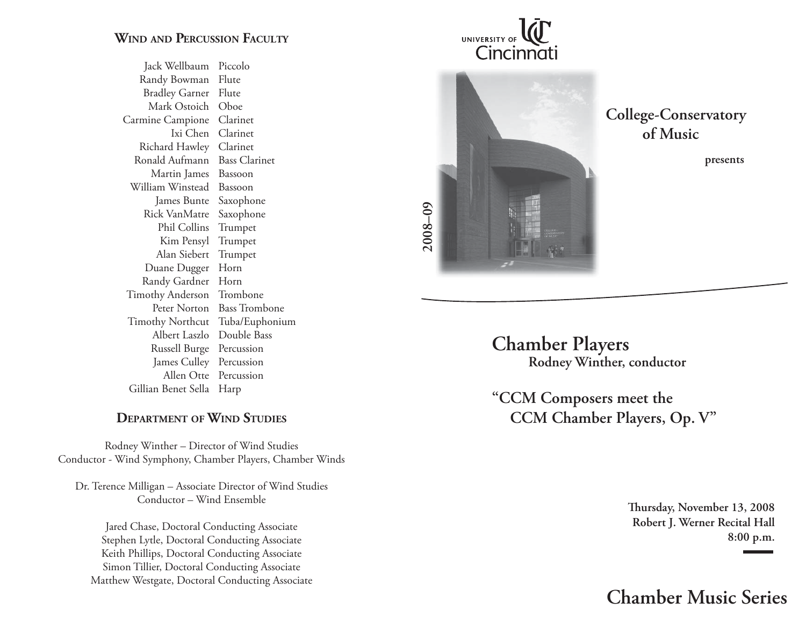## **WIND AND PERCUSSION FACULTY**

 Jack Wellbaum Piccolo Randy Bowman Flute Bradley Garner Flute Mark Ostoich Oboe Carmine Campione Clarinet Ixi Chen Clarinet Richard Hawley Clarinet Ronald Aufmann Bass Clarinet Martin James Bassoon William Winstead Bassoon James Bunte Saxophone Rick VanMatre Saxophone Phil Collins Trumpet Kim Pensyl Trumpet Alan Siebert Trumpet Duane Dugger Horn Randy Gardner Horn Timothy Anderson Trombone Peter Norton Bass Trombone Timothy Northcut Tuba/Euphonium Albert Laszlo Double Bass Russell Burge Percussion James Culley Percussion Allen Otte Percussion Gillian Benet Sella Harp

## **DEPARTMENT OF WIND STUDIES**

Rodney Winther – Director of Wind Studies Conductor - Wind Symphony, Chamber Players, Chamber Winds

Dr. Terence Milligan – Associate Director of Wind Studies Conductor – Wind Ensemble

Jared Chase, Doctoral Conducting Associate Stephen Lytle, Doctoral Conducting Associate Keith Phillips, Doctoral Conducting Associate Simon Tillier, Doctoral Conducting Associate Matthew Westgate, Doctoral Conducting Associate





**College-Conservatory of Music**

**presents**

**Chamber Players Rodney Winther, conductor**

**"CCM Composers meet the CCM Chamber Players, Op. V"**

> **Th ursday, November 13, 2008 Robert J. Werner Recital Hall 8:00 p.m.**

**Chamber Music Series**